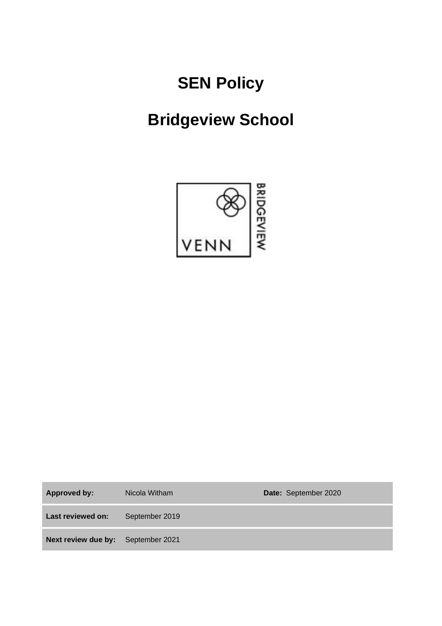# **SEN Policy**

# **Bridgeview School**



**Approved by:** Nicola Witham **Date:** September 2020 **Last reviewed on:** September 2019 **Next review due by:** September 2021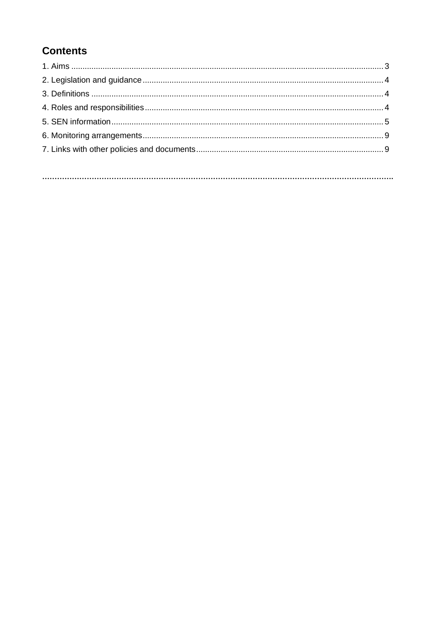# **Contents**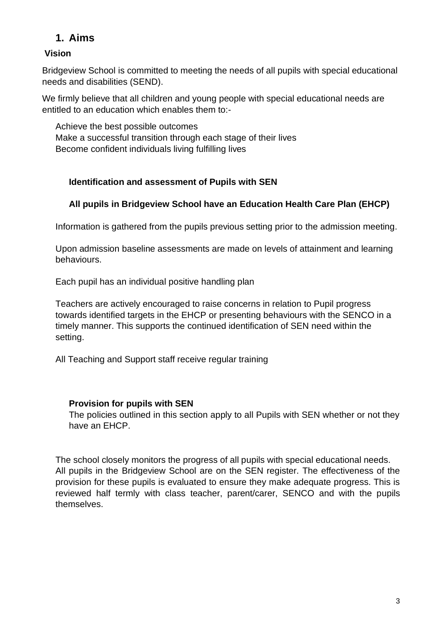## **1. Aims**

## **Vision**

Bridgeview School is committed to meeting the needs of all pupils with special educational needs and disabilities (SEND).

We firmly believe that all children and young people with special educational needs are entitled to an education which enables them to:-

Achieve the best possible outcomes Make a successful transition through each stage of their lives Become confident individuals living fulfilling lives

## **Identification and assessment of Pupils with SEN**

## **All pupils in Bridgeview School have an Education Health Care Plan (EHCP)**

Information is gathered from the pupils previous setting prior to the admission meeting.

Upon admission baseline assessments are made on levels of attainment and learning behaviours.

Each pupil has an individual positive handling plan

Teachers are actively encouraged to raise concerns in relation to Pupil progress towards identified targets in the EHCP or presenting behaviours with the SENCO in a timely manner. This supports the continued identification of SEN need within the setting.

All Teaching and Support staff receive regular training

## **Provision for pupils with SEN**

The policies outlined in this section apply to all Pupils with SEN whether or not they have an EHCP.

The school closely monitors the progress of all pupils with special educational needs. All pupils in the Bridgeview School are on the SEN register. The effectiveness of the provision for these pupils is evaluated to ensure they make adequate progress. This is reviewed half termly with class teacher, parent/carer, SENCO and with the pupils themselves.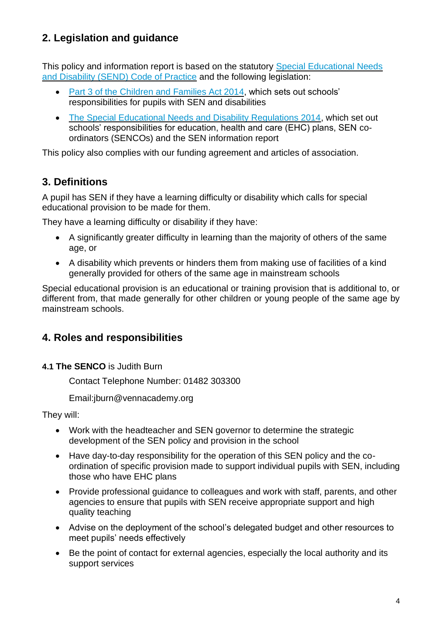## **2. Legislation and guidance**

This policy and information report is based on the statutory [Special Educational Needs](https://www.gov.uk/government/uploads/system/uploads/attachment_data/file/398815/SEND_Code_of_Practice_January_2015.pdf)  [and Disability \(SEND\) Code of Practice](https://www.gov.uk/government/uploads/system/uploads/attachment_data/file/398815/SEND_Code_of_Practice_January_2015.pdf) and the following legislation:

- [Part 3 of the Children and Families Act 2014,](http://www.legislation.gov.uk/ukpga/2014/6/part/3) which sets out schools' responsibilities for pupils with SEN and disabilities
- [The Special Educational Needs and Disability Regulations 2014,](http://www.legislation.gov.uk/uksi/2014/1530/contents/made) which set out schools' responsibilities for education, health and care (EHC) plans, SEN coordinators (SENCOs) and the SEN information report

This policy also complies with our funding agreement and articles of association.

## **3. Definitions**

A pupil has SEN if they have a learning difficulty or disability which calls for special educational provision to be made for them.

They have a learning difficulty or disability if they have:

- A significantly greater difficulty in learning than the majority of others of the same age, or
- A disability which prevents or hinders them from making use of facilities of a kind generally provided for others of the same age in mainstream schools

Special educational provision is an educational or training provision that is additional to, or different from, that made generally for other children or young people of the same age by mainstream schools.

## **4. Roles and responsibilities**

**4.1 The SENCO** is Judith Burn

Contact Telephone Number: 01482 303300

Email:jburn@vennacademy.org

They will:

- Work with the headteacher and SEN governor to determine the strategic development of the SEN policy and provision in the school
- Have day-to-day responsibility for the operation of this SEN policy and the coordination of specific provision made to support individual pupils with SEN, including those who have EHC plans
- Provide professional guidance to colleagues and work with staff, parents, and other agencies to ensure that pupils with SEN receive appropriate support and high quality teaching
- Advise on the deployment of the school's delegated budget and other resources to meet pupils' needs effectively
- Be the point of contact for external agencies, especially the local authority and its support services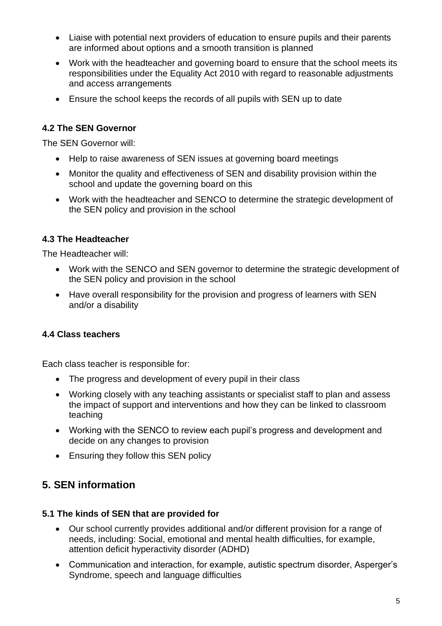- Liaise with potential next providers of education to ensure pupils and their parents are informed about options and a smooth transition is planned
- Work with the headteacher and governing board to ensure that the school meets its responsibilities under the Equality Act 2010 with regard to reasonable adjustments and access arrangements
- Ensure the school keeps the records of all pupils with SEN up to date

## **4.2 The SEN Governor**

The SEN Governor will:

- Help to raise awareness of SEN issues at governing board meetings
- Monitor the quality and effectiveness of SEN and disability provision within the school and update the governing board on this
- Work with the headteacher and SENCO to determine the strategic development of the SEN policy and provision in the school

## **4.3 The Headteacher**

The Headteacher will:

- Work with the SENCO and SEN governor to determine the strategic development of the SEN policy and provision in the school
- Have overall responsibility for the provision and progress of learners with SEN and/or a disability

## **4.4 Class teachers**

Each class teacher is responsible for:

- The progress and development of every pupil in their class
- Working closely with any teaching assistants or specialist staff to plan and assess the impact of support and interventions and how they can be linked to classroom teaching
- Working with the SENCO to review each pupil's progress and development and decide on any changes to provision
- Ensuring they follow this SEN policy

## **5. SEN information**

#### **5.1 The kinds of SEN that are provided for**

- Our school currently provides additional and/or different provision for a range of needs, including: Social, emotional and mental health difficulties, for example, attention deficit hyperactivity disorder (ADHD)
- Communication and interaction, for example, autistic spectrum disorder, Asperger's Syndrome, speech and language difficulties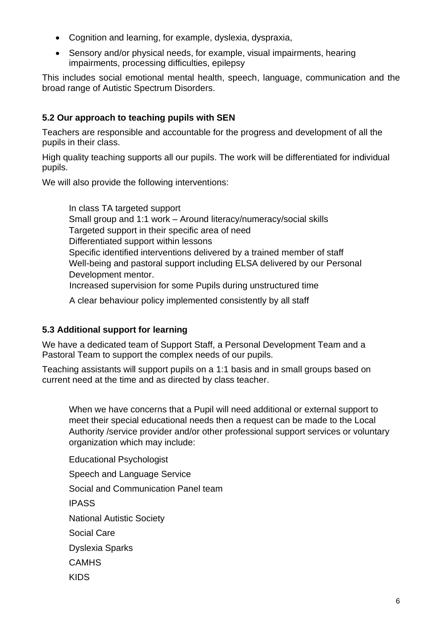- Cognition and learning, for example, dyslexia, dyspraxia,
- Sensory and/or physical needs, for example, visual impairments, hearing impairments, processing difficulties, epilepsy

This includes social emotional mental health, speech, language, communication and the broad range of Autistic Spectrum Disorders.

## **5.2 Our approach to teaching pupils with SEN**

Teachers are responsible and accountable for the progress and development of all the pupils in their class.

High quality teaching supports all our pupils. The work will be differentiated for individual pupils.

We will also provide the following interventions:

In class TA targeted support Small group and 1:1 work – Around literacy/numeracy/social skills Targeted support in their specific area of need Differentiated support within lessons Specific identified interventions delivered by a trained member of staff Well-being and pastoral support including ELSA delivered by our Personal Development mentor. Increased supervision for some Pupils during unstructured time A clear behaviour policy implemented consistently by all staff

## **5.3 Additional support for learning**

We have a dedicated team of Support Staff, a Personal Development Team and a Pastoral Team to support the complex needs of our pupils.

Teaching assistants will support pupils on a 1:1 basis and in small groups based on current need at the time and as directed by class teacher.

When we have concerns that a Pupil will need additional or external support to meet their special educational needs then a request can be made to the Local Authority /service provider and/or other professional support services or voluntary organization which may include:

Educational Psychologist Speech and Language Service Social and Communication Panel team IPASS National Autistic Society Social Care Dyslexia Sparks **CAMHS** KIDS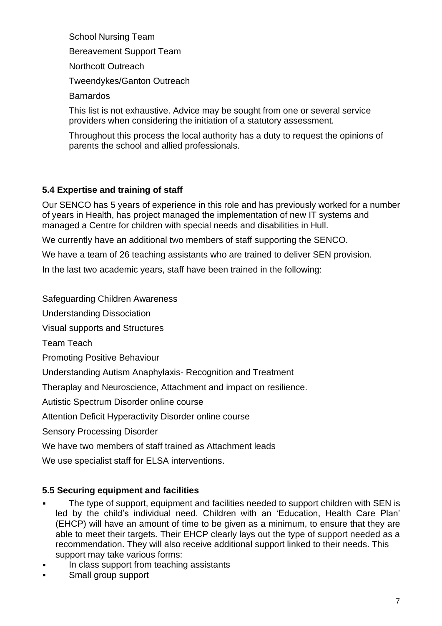School Nursing Team Bereavement Support Team Northcott Outreach Tweendykes/Ganton Outreach Barnardos

This list is not exhaustive. Advice may be sought from one or several service providers when considering the initiation of a statutory assessment.

Throughout this process the local authority has a duty to request the opinions of parents the school and allied professionals.

## **5.4 Expertise and training of staff**

Our SENCO has 5 years of experience in this role and has previously worked for a number of years in Health, has project managed the implementation of new IT systems and managed a Centre for children with special needs and disabilities in Hull.

We currently have an additional two members of staff supporting the SENCO.

We have a team of 26 teaching assistants who are trained to deliver SEN provision.

In the last two academic years, staff have been trained in the following:

Safeguarding Children Awareness

Understanding Dissociation

Visual supports and Structures

Team Teach

Promoting Positive Behaviour

Understanding Autism Anaphylaxis- Recognition and Treatment

Theraplay and Neuroscience, Attachment and impact on resilience.

Autistic Spectrum Disorder online course

Attention Deficit Hyperactivity Disorder online course

Sensory Processing Disorder

We have two members of staff trained as Attachment leads

We use specialist staff for ELSA interventions.

## **5.5 Securing equipment and facilities**

- The type of support, equipment and facilities needed to support children with SEN is led by the child's individual need. Children with an 'Education, Health Care Plan' (EHCP) will have an amount of time to be given as a minimum, to ensure that they are able to meet their targets. Their EHCP clearly lays out the type of support needed as a recommendation. They will also receive additional support linked to their needs. This support may take various forms:
- In class support from teaching assistants
- Small group support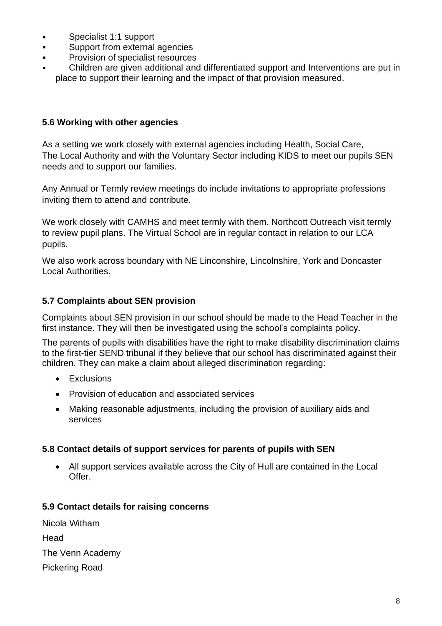- Specialist 1:1 support  $\blacksquare$
- Support from external agencies  $\blacksquare$
- Provision of specialist resources
- Children are given additional and differentiated support and Interventions are put in place to support their learning and the impact of that provision measured.

#### **5.6 Working with other agencies**

As a setting we work closely with external agencies including Health, Social Care, The Local Authority and with the Voluntary Sector including KIDS to meet our pupils SEN needs and to support our families.

Any Annual or Termly review meetings do include invitations to appropriate professions inviting them to attend and contribute.

We work closely with CAMHS and meet termly with them. Northcott Outreach visit termly to review pupil plans. The Virtual School are in regular contact in relation to our LCA pupils.

We also work across boundary with NE Linconshire, Lincolnshire, York and Doncaster Local Authorities.

## **5.7 Complaints about SEN provision**

Complaints about SEN provision in our school should be made to the Head Teacher in the first instance. They will then be investigated using the school's complaints policy.

The parents of pupils with disabilities have the right to make disability discrimination claims to the first-tier SEND tribunal if they believe that our school has discriminated against their children. They can make a claim about alleged discrimination regarding:

- **Exclusions**
- Provision of education and associated services
- Making reasonable adjustments, including the provision of auxiliary aids and services

## **5.8 Contact details of support services for parents of pupils with SEN**

• All support services available across the City of Hull are contained in the Local Offer.

#### **5.9 Contact details for raising concerns**

| Nicola Witham         |
|-----------------------|
| Head                  |
| The Venn Academy      |
| <b>Pickering Road</b> |